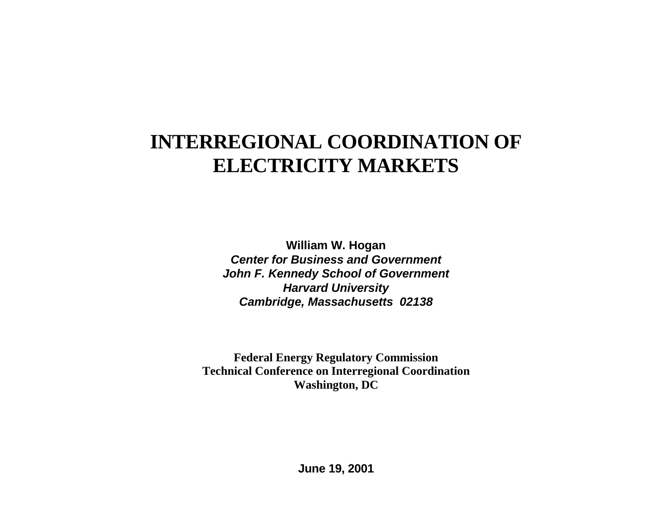# **INTERREGIONAL COORDINATION OFELECTRICITY MARKETS**

**William W. Hogan Center for Business and GovernmentJohn F. Kennedy School of Government Harvard University Cambridge, Massachusetts 02138**

**Federal Energy Regulatory Commission Technical Conference on Interregional Coordination Washington, DC**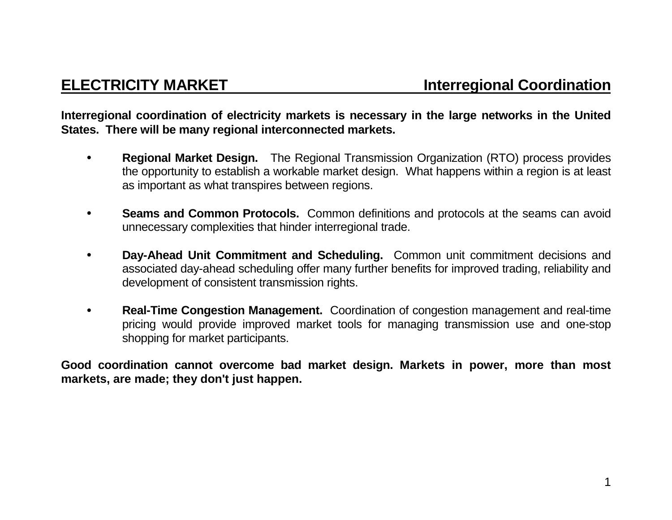**Interregional coordination of electricity markets is necessary in the large networks in the United States. There will be many regional interconnected markets.**

- • **Regional Market Design.** The Regional Transmission Organization (RTO) process provides the opportunity to establish a workable market design. What happens within a region is at least as important as what transpires between regions.
- **Seams and Common Protocols.** Common definitions and protocols at the seams can avoid unnecessary complexities that hinder interregional trade.
- • **Day-Ahead Unit Commitment and Scheduling.** Common unit commitment decisions and associated day-ahead scheduling offer many further benefits for improved trading, reliability and development of consistent transmission rights.
- • **Real-Time Congestion Management.** Coordination of congestion management and real-time pricing would provide improved market tools for managing transmission use and one-stop shopping for market participants.

**Good coordination cannot overcome bad market design. Markets in power, more than most markets, are made; they don't just happen.**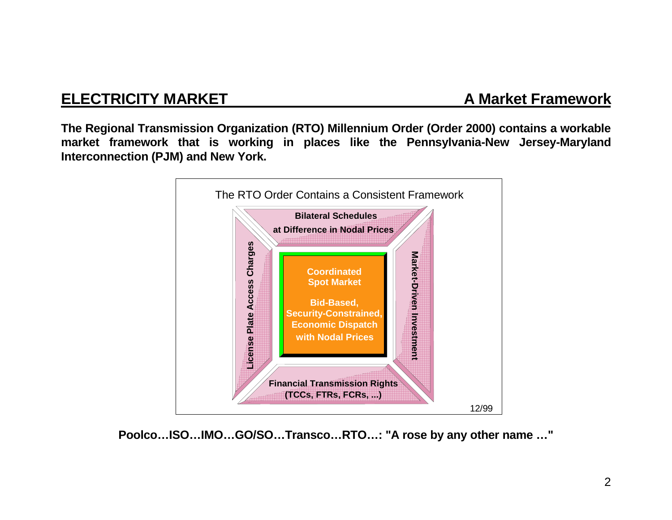## **ELECTRICITY MARKET**

### **A Market Framework**

**The Regional Transmission Organization (RTO) Millennium Order (Order 2000) contains a workable market framework that is working in places like the Pennsylvania-New Jersey-Maryland Interconnection (PJM) and New York.**



**Poolco…ISO…IMO…GO/SO…Transco…RTO…: "A rose by any other name …"**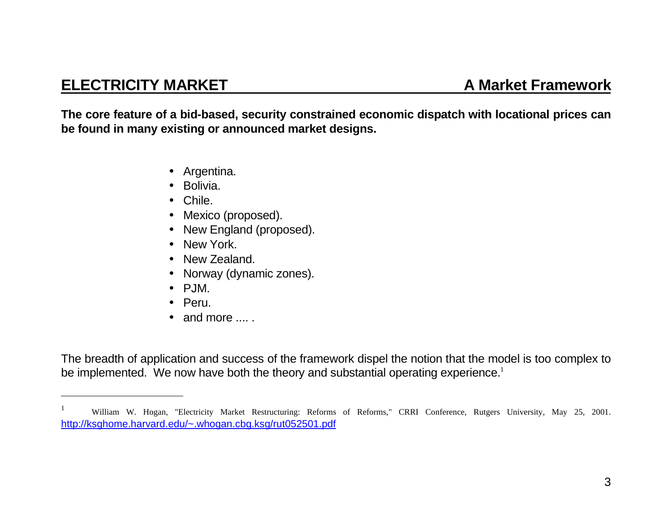## **ELECTRICITY MARKET**

**The core feature of a bid-based, security constrained economic dispatch with locational prices can be found in many existing or announced market designs.**

- Argentina.
- Bolivia.
- Chile.
- Mexico (proposed).
- New England (proposed).
- New York.
- New Zealand.
- Norway (dynamic zones).
- PJM.
- Peru.
- and more .... .

The breadth of application and success of the framework dispel the notion that the model is too complex to be implemented. We now have both the theory and substantial operating experience.<sup>1</sup>

<sup>1</sup> William W. Hogan, "Electricity Market Restructuring: Reforms of Reforms," CRRI Conference, Rutgers University, May 25, 2001. http://ksghome.harvard.edu/~.whogan.cbg.ksg/rut052501.pdf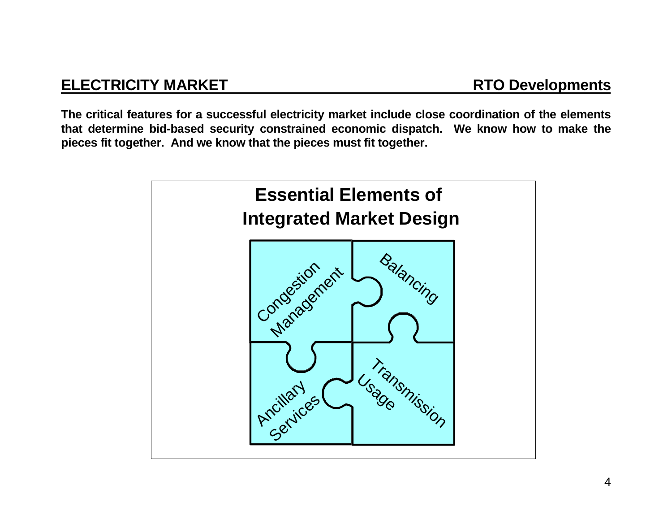## **ELECTRICITY MARKET RTO Developments**

**The critical features for a successful electricity market include close coordination of the elements that determine bid-based security constrained economic dispatch. We know how to make the pieces fit together. And we know that the pieces must fit together.**

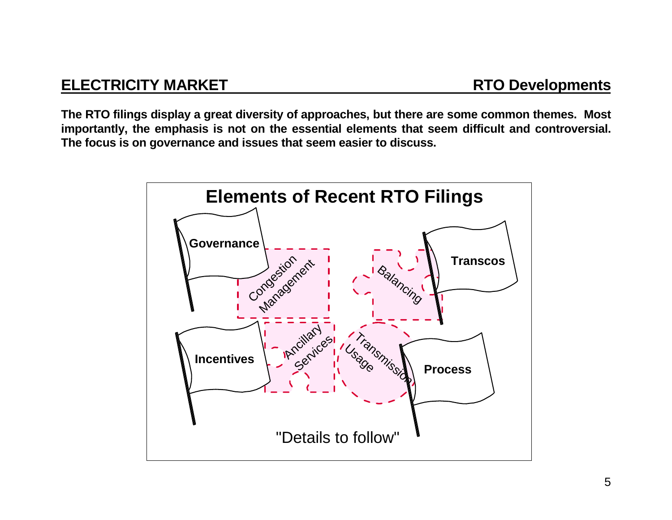## **ELECTRICITY MARKET RTO Developments**

**The RTO filings display a great diversity of approaches, but there are some common themes. Most importantly, the emphasis is not on the essential elements that seem difficult and controversial. The focus is on governance and issues that seem easier to discuss.**

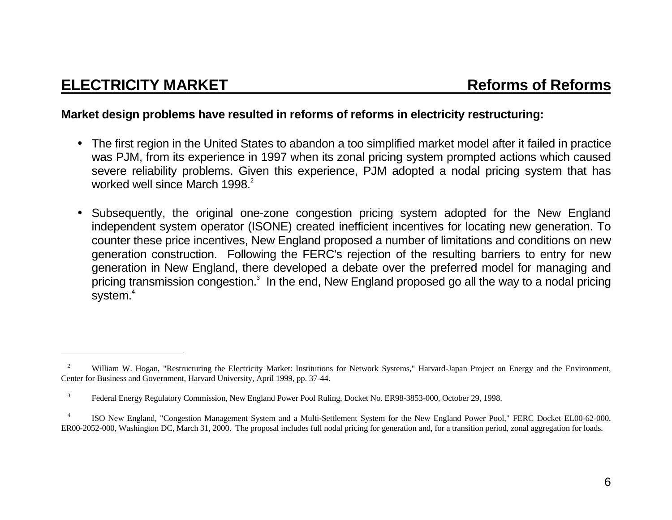### **Market design problems have resulted in reforms of reforms in electricity restructuring:**

- The first region in the United States to abandon a too simplified market model after it failed in practice was PJM, from its experience in 1997 when its zonal pricing system prompted actions which caused severe reliability problems. Given this experience, PJM adopted a nodal pricing system that has worked well since March 1998.<sup>2</sup>
- $\bullet$  Subsequently, the original one-zone congestion pricing system adopted for the New England independent system operator (ISONE) created inefficient incentives for locating new generation. To counter these price incentives, New England proposed a number of limitations and conditions on new generation construction. Following the FERC's rejection of the resulting barriers to entry for new generation in New England, there developed a debate over the preferred model for managing and pricing transmission congestion.<sup>3</sup> In the end, New England proposed go all the way to a nodal pricing system.<sup>4</sup>

<sup>&</sup>lt;sup>2</sup> William W. Hogan, "Restructuring the Electricity Market: Institutions for Network Systems," Harvard-Japan Project on Energy and the Environment, Center for Business and Government, Harvard University, April 1999, pp. 37-44.

 <sup>3</sup>Federal Energy Regulatory Commission, New England Power Pool Ruling, Docket No. ER98-3853-000, October 29, 1998.

<sup>&</sup>lt;sup>4</sup> ISO New England, "Congestion Management System and a Multi-Settlement System for the New England Power Pool," FERC Docket EL00-62-000, ER00-2052-000, Washington DC, March 31, 2000. The proposal includes full nodal pricing for generation and, for a transition period, zonal aggregation for loads.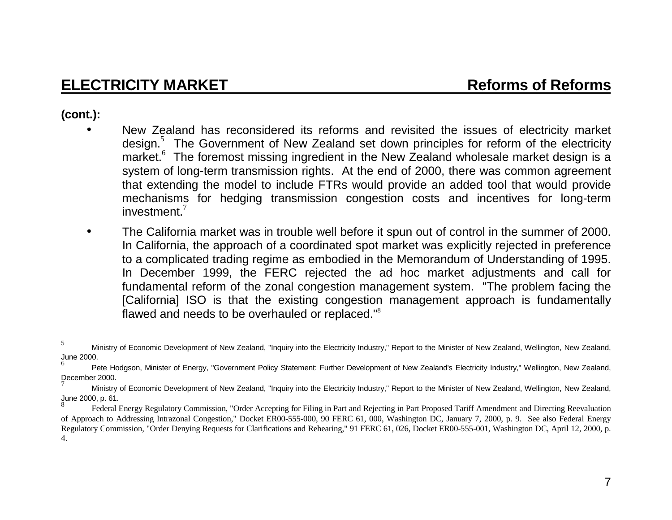### **(cont.):**

- • New Zealand has reconsidered its reforms and revisited the issues of electricity market design.<sup>5</sup> The Government of New Zealand set down principles for reform of the electricity market.<sup>6</sup> The foremost missing ingredient in the New Zealand wholesale market design is a system of long-term transmission rights. At the end of 2000, there was common agreement that extending the model to include FTRs would provide an added tool that would provide mechanisms for hedging transmission congestion costs and incentives for long-term investment.<sup>7</sup>
- • The California market was in trouble well before it spun out of control in the summer of 2000. In California, the approach of a coordinated spot market was explicitly rejected in preference to a complicated trading regime as embodied in the Memorandum of Understanding of 1995. In December 1999, the FERC rejected the ad hoc market adjustments and call for fundamental reform of the zonal congestion management system. "The problem facing the [California] ISO is that the existing congestion management approach is fundamentally flawed and needs to be overhauled or replaced."<sup>8</sup>

<sup>&</sup>lt;sup>5</sup> Ministry of Economic Development of New Zealand, "Inquiry into the Electricity Industry," Report to the Minister of New Zealand, Wellington, New Zealand, June 2000.

Pete Hodgson, Minister of Energy, "Government Policy Statement: Further Development of New Zealand's Electricity Industry," Wellington, New Zealand, December 2000.

Ministry of Economic Development of New Zealand, "Inquiry into the Electricity Industry," Report to the Minister of New Zealand, Wellington, New Zealand, June 2000, p. 61.

<sup>8</sup> Federal Energy Regulatory Commission, "Order Accepting for Filing in Part and Rejecting in Part Proposed Tariff Amendment and Directing Reevaluation of Approach to Addressing Intrazonal Congestion," Docket ER00-555-000, 90 FERC 61, 000, Washington DC, January 7, 2000, p. 9. See also Federal Energy Regulatory Commission, "Order Denying Requests for Clarifications and Rehearing," 91 FERC 61, 026, Docket ER00-555-001, Washington DC, April 12, 2000, p. 4.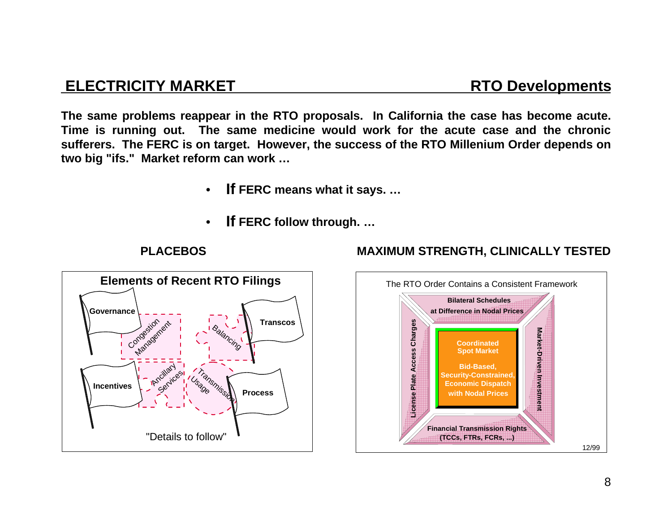### **ELECTRICITY MARKET RTO Developments**

**The same problems reappear in the RTO proposals. In California the case has become acute. Time is running out. The same medicine would work for the acute case and the chronic sufferers. The FERC is on target. However, the success of the RTO Millenium Order depends on two big "ifs." Market reform can work …**

- **If FERC means what it says. …**
- •**If FERC follow through. …**



### **PLACEBOS MAXIMUM STRENGTH, CLINICALLY TESTED**

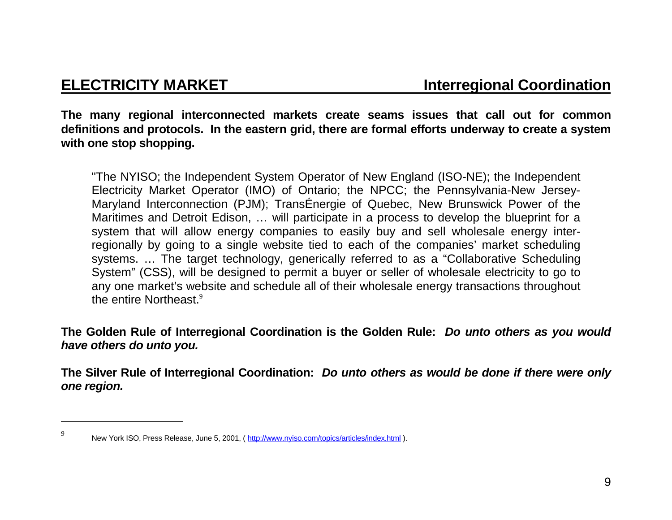**The many regional interconnected markets create seams issues that call out for common definitions and protocols. In the eastern grid, there are formal efforts underway to create a system with one stop shopping.**

"The NYISO; the Independent System Operator of New England (ISO-NE); the Independent Electricity Market Operator (IMO) of Ontario; the NPCC; the Pennsylvania-New Jersey-Maryland Interconnection (PJM); TransÉnergie of Quebec, New Brunswick Power of the Maritimes and Detroit Edison, … will participate in a process to develop the blueprint for a system that will allow energy companies to easily buy and sell wholesale energy interregionally by going to a single website tied to each of the companies' market scheduling systems. … The target technology, generically referred to as a "Collaborative Scheduling System" (CSS), will be designed to permit a buyer or seller of wholesale electricity to go to any one market's website and schedule all of their wholesale energy transactions throughout the entire Northeast  $9$ 

**The Golden Rule of Interregional Coordination is the Golden Rule: Do unto others as you would have others do unto you.**

**The Silver Rule of Interregional Coordination: Do unto others as would be done if there were only one region.**

<sup>9</sup> New York ISO, Press Release, June 5, 2001, ( http://www.nyiso.com/topics/articles/index.html ).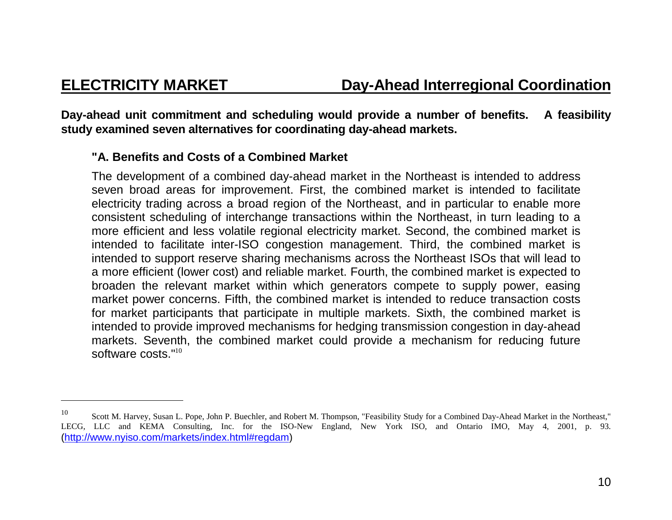**Day-ahead unit commitment and scheduling would provide a number of benefits. A feasibility study examined seven alternatives for coordinating day-ahead markets.**

### **"A. Benefits and Costs of a Combined Market**

The development of a combined day-ahead market in the Northeast is intended to address seven broad areas for improvement. First, the combined market is intended to facilitate electricity trading across a broad region of the Northeast, and in particular to enable more consistent scheduling of interchange transactions within the Northeast, in turn leading to a more efficient and less volatile regional electricity market. Second, the combined market is intended to facilitate inter-ISO congestion management. Third, the combined market is intended to support reserve sharing mechanisms across the Northeast ISOs that will lead to a more efficient (lower cost) and reliable market. Fourth, the combined market is expected to broaden the relevant market within which generators compete to supply power, easing market power concerns. Fifth, the combined market is intended to reduce transaction costs for market participants that participate in multiple markets. Sixth, the combined market is intended to provide improved mechanisms for hedging transmission congestion in day-ahead markets. Seventh, the combined market could provide a mechanism for reducing future software costs."<sup>10</sup>

<sup>10</sup> Scott M. Harvey, Susan L. Pope, John P. Buechler, and Robert M. Thompson, "Feasibility Study for a Combined Day-Ahead Market in the Northeast," LECG, LLC and KEMA Consulting, Inc. for the ISO-New England, New York ISO, and Ontario IMO, May 4, 2001, p. 93. (http://www.nyiso.com/markets/index.html#regdam)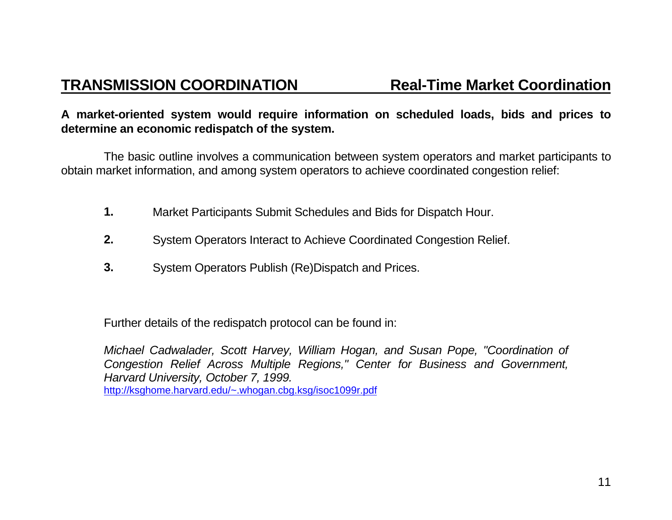## **TRANSMISSION COORDINATION Real-Time Market Coordination**

**Real-Time Market Coordination** 

### **A market-oriented system would require information on scheduled loads, bids and prices to determine an economic redispatch of the system.**

The basic outline involves a communication between system operators and market participants to obtain market information, and among system operators to achieve coordinated congestion relief:

- **1.**Market Participants Submit Schedules and Bids for Dispatch Hour.
- **2.**System Operators Interact to Achieve Coordinated Congestion Relief.
- **3.**System Operators Publish (Re)Dispatch and Prices.

Further details of the redispatch protocol can be found in:

Michael Cadwalader, Scott Harvey, William Hogan, and Susan Pope, "Coordination of Congestion Relief Across Multiple Regions," Center for Business and Government, Harvard University, October 7, 1999. http://ksghome.harvard.edu/~.whogan.cbg.ksg/isoc1099r.pdf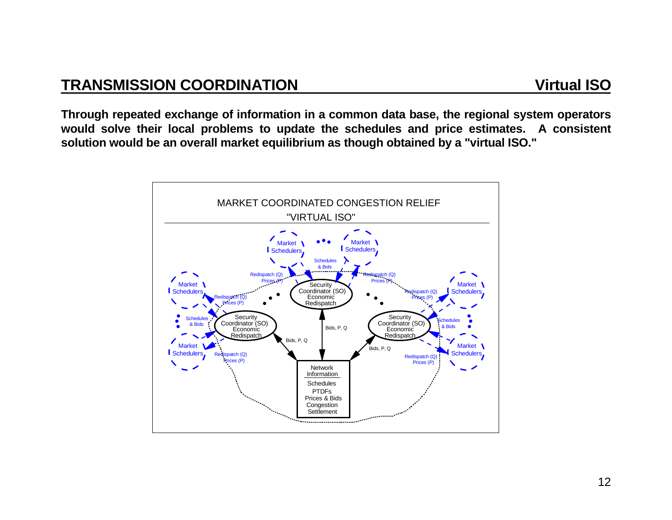## **TRANSMISSION COORDINATION**

**Through repeated exchange of information in a common data base, the regional system operators would solve their local problems to update the schedules and price estimates. A consistent solution would be an overall market equilibrium as though obtained by a "virtual ISO."**

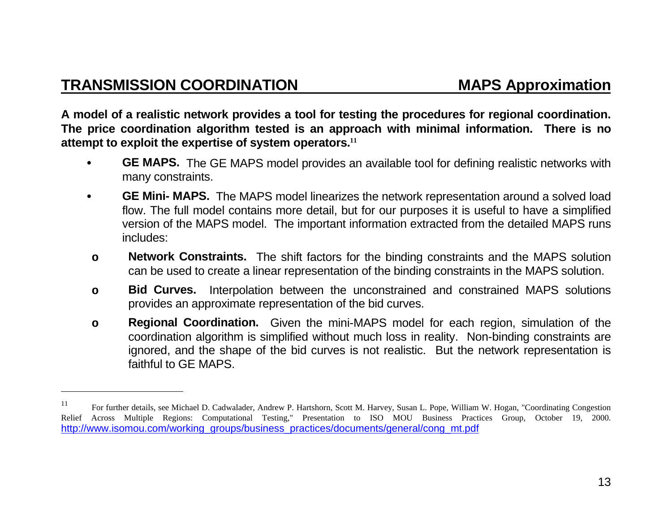**A model of a realistic network provides a tool for testing the procedures for regional coordination. The price coordination algorithm tested is an approach with minimal information. There is no attempt to exploit the expertise of system operators.<sup>11</sup>**

- • **GE MAPS.** The GE MAPS model provides an available tool for defining realistic networks with many constraints.
- • **GE Mini- MAPS.** The MAPS model linearizes the network representation around a solved load flow. The full model contains more detail, but for our purposes it is useful to have a simplified version of the MAPS model. The important information extracted from the detailed MAPS runs includes:
- **o Network Constraints.** The shift factors for the binding constraints and the MAPS solution can be used to create a linear representation of the binding constraints in the MAPS solution.
- **o Bid Curves.** Interpolation between the unconstrained and constrained MAPS solutions provides an approximate representation of the bid curves.
- **o Regional Coordination.** Given the mini-MAPS model for each region, simulation of the coordination algorithm is simplified without much loss in reality. Non-binding constraints are ignored, and the shape of the bid curves is not realistic. But the network representation is faithful to GE MAPS.

<sup>11</sup> For further details, see Michael D. Cadwalader, Andrew P. Hartshorn, Scott M. Harvey, Susan L. Pope, William W. Hogan, "Coordinating Congestion Relief Across Multiple Regions: Computational Testing," Presentation to ISO MOU Business Practices Group, October 19, 2000. http://www.isomou.com/working\_groups/business\_practices/documents/general/cong\_mt.pdf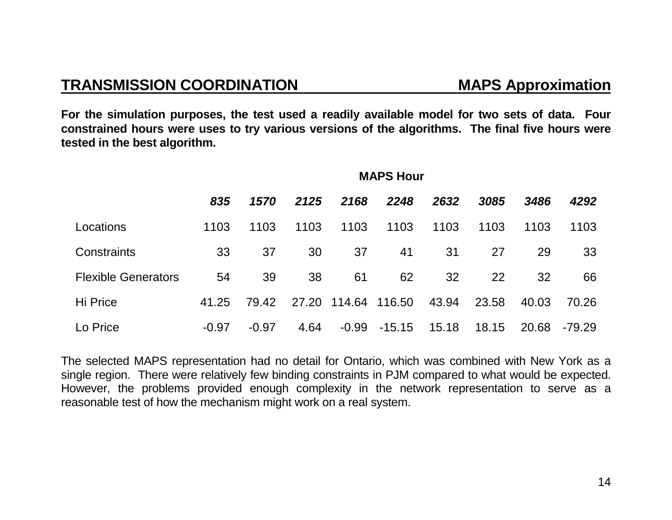## **TRANSMISSION COORDINATION MAPS Approximation**

**For the simulation purposes, the test used a readily available model for two sets of data. Four constrained hours were uses to try various versions of the algorithms. The final five hours were tested in the best algorithm.**

|                            | <b>MAPS Hour</b> |         |       |         |          |       |       |       |        |
|----------------------------|------------------|---------|-------|---------|----------|-------|-------|-------|--------|
|                            | 835              | 1570    | 2125  | 2168    | 2248     | 2632  | 3085  | 3486  | 4292   |
| Locations                  | 1103             | 1103    | 1103  | 1103    | 1103     | 1103  | 1103  | 1103  | 1103   |
| Constraints                | 33               | 37      | 30    | 37      | 41       | 31    | 27    | 29    | 33     |
| <b>Flexible Generators</b> | 54               | 39      | 38    | 61      | 62       | 32    | 22    | 32    | 66     |
| Hi Price                   | 41.25            | 79.42   | 27.20 | 114.64  | 116.50   | 43.94 | 23.58 | 40.03 | 70.26  |
| Lo Price                   | $-0.97$          | $-0.97$ | 4.64  | $-0.99$ | $-15.15$ | 15.18 | 18.15 | 20.68 | -79.29 |

The selected MAPS representation had no detail for Ontario, which was combined with New York as a single region. There were relatively few binding constraints in PJM compared to what would be expected. However, the problems provided enough complexity in the network representation to serve as a reasonable test of how the mechanism might work on a real system.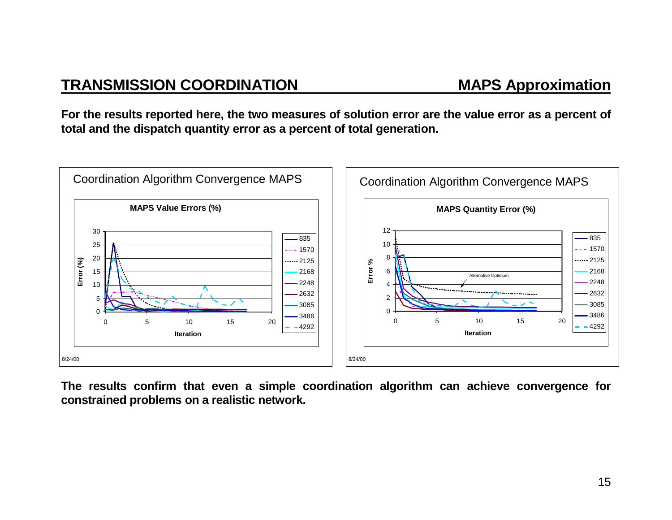## **TRANSMISSION COORDINATION MAPS Approximation**

**For the results reported here, the two measures of solution error are the value error as a percent of total and the dispatch quantity error as a percent of total generation.**



**The results confirm that even a simple coordination algorithm can achieve convergence for constrained problems on a realistic network.**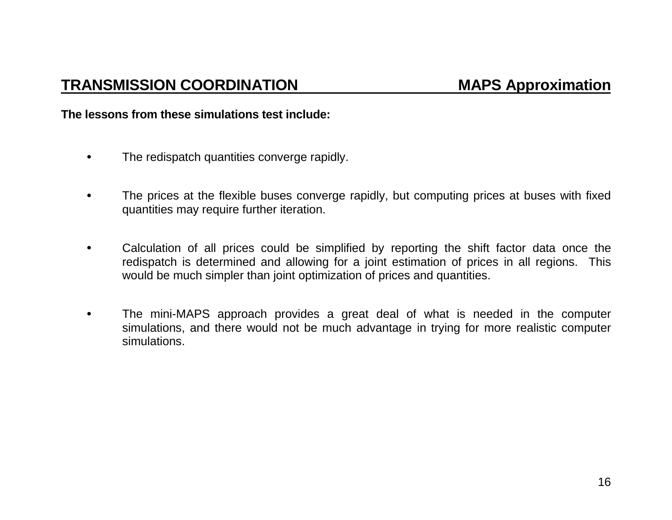### **The lessons from these simulations test include:**

- •The redispatch quantities converge rapidly.
- • The prices at the flexible buses converge rapidly, but computing prices at buses with fixed quantities may require further iteration.
- • Calculation of all prices could be simplified by reporting the shift factor data once the redispatch is determined and allowing for a joint estimation of prices in all regions. This would be much simpler than joint optimization of prices and quantities.
- • The mini-MAPS approach provides a great deal of what is needed in the computer simulations, and there would not be much advantage in trying for more realistic computer simulations.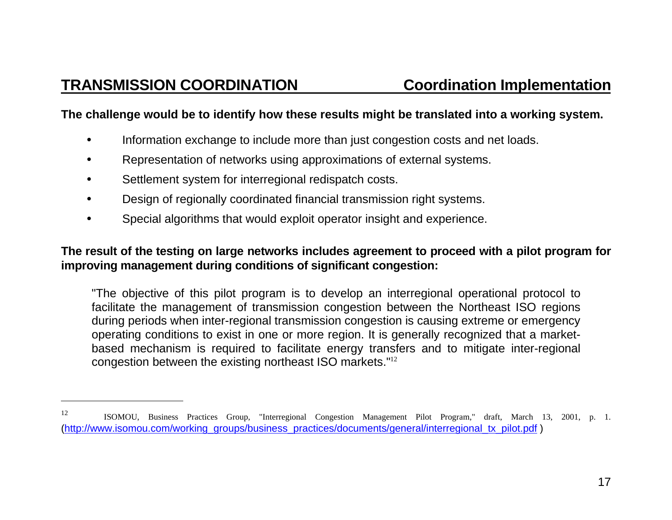### **The challenge would be to identify how these results might be translated into a working system.**

- •Information exchange to include more than just congestion costs and net loads.
- •Representation of networks using approximations of external systems.
- •Settlement system for interregional redispatch costs.
- •Design of regionally coordinated financial transmission right systems.
- •Special algorithms that would exploit operator insight and experience.

### **The result of the testing on large networks includes agreement to proceed with a pilot program for improving management during conditions of significant congestion:**

"The objective of this pilot program is to develop an interregional operational protocol to facilitate the management of transmission congestion between the Northeast ISO regions during periods when inter-regional transmission congestion is causing extreme or emergency operating conditions to exist in one or more region. It is generally recognized that a marketbased mechanism is required to facilitate energy transfers and to mitigate inter-regional congestion between the existing northeast ISO markets."<sup>12</sup>

<sup>12</sup> ISOMOU, Business Practices Group, "Interregional Congestion Management Pilot Program," draft, March 13, 2001, p. 1. (http://www.isomou.com/working\_groups/business\_practices/documents/general/interregional\_tx\_pilot.pdf )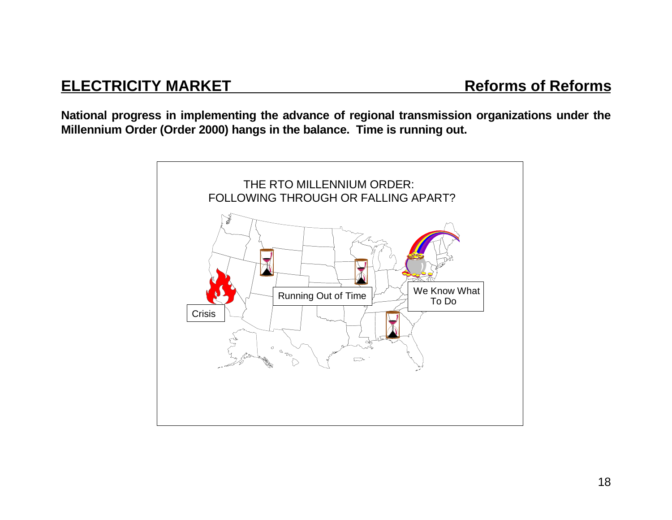## **ELECTRICITY MARKET**

**National progress in implementing the advance of regional transmission organizations under the Millennium Order (Order 2000) hangs in the balance. Time is running out.**